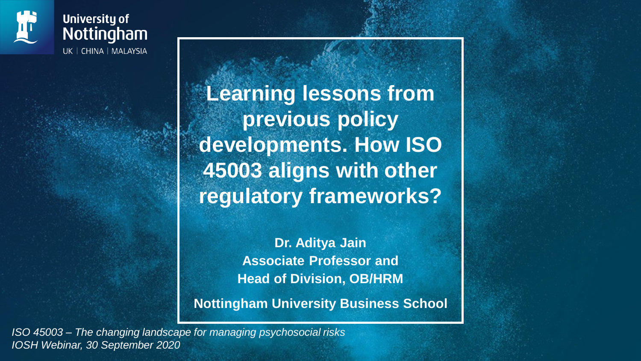

**University of** Nottingham UK | CHINA | MALAYSIA

> **Learning lessons from previous policy developments. How ISO 45003 aligns with other regulatory frameworks?**

> > **Dr. Aditya Jain Associate Professor and Head of Division, OB/HRM**

**Nottingham University Business School**

*ISO 45003 – The changing landscape for managing psychosocial risks IOSH Webinar, 30 September 2020*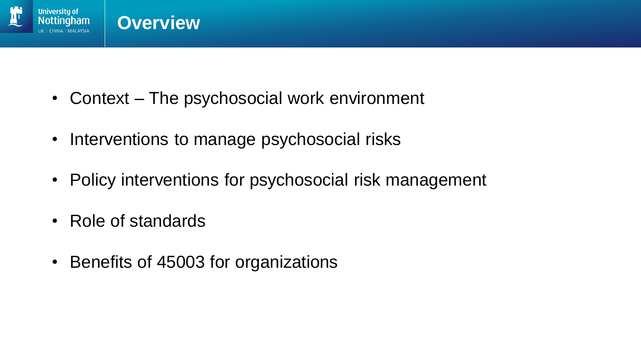

- Context The psychosocial work environment
- Interventions to manage psychosocial risks
- Policy interventions for psychosocial risk management
- Role of standards
- Benefits of 45003 for organizations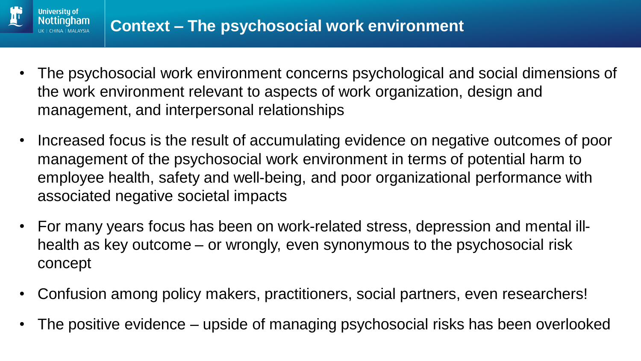

**Universitu of** 

- The psychosocial work environment concerns psychological and social dimensions of the work environment relevant to aspects of work organization, design and management, and interpersonal relationships
- Increased focus is the result of accumulating evidence on negative outcomes of poor management of the psychosocial work environment in terms of potential harm to employee health, safety and well-being, and poor organizational performance with associated negative societal impacts
- For many years focus has been on work-related stress, depression and mental illhealth as key outcome – or wrongly, even synonymous to the psychosocial risk concept
- Confusion among policy makers, practitioners, social partners, even researchers!
- The positive evidence upside of managing psychosocial risks has been overlooked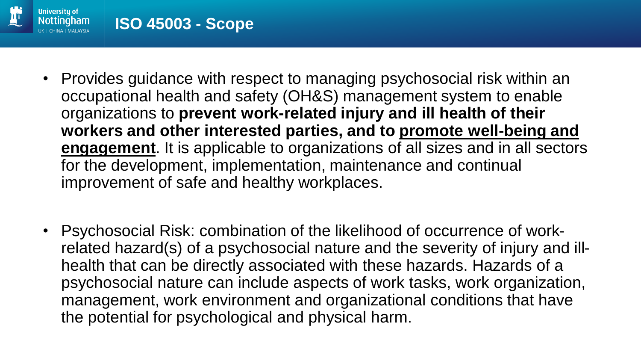

- Provides guidance with respect to managing psychosocial risk within an occupational health and safety (OH&S) management system to enable organizations to **prevent work-related injury and ill health of their workers and other interested parties, and to promote well-being and engagement**. It is applicable to organizations of all sizes and in all sectors for the development, implementation, maintenance and continual improvement of safe and healthy workplaces.
- Psychosocial Risk: combination of the likelihood of occurrence of workrelated hazard(s) of a psychosocial nature and the severity of injury and illhealth that can be directly associated with these hazards. Hazards of a psychosocial nature can include aspects of work tasks, work organization, management, work environment and organizational conditions that have the potential for psychological and physical harm.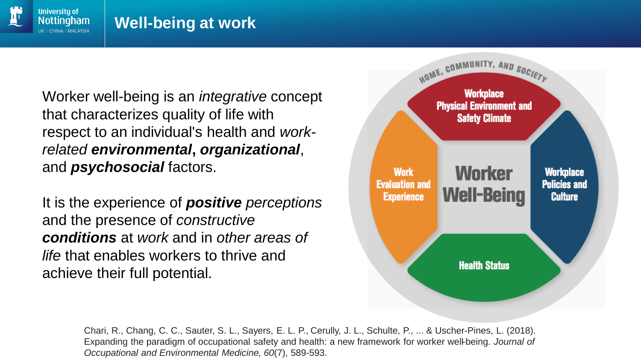

#### **Well-being at work**

Worker well-being is an *integrative* concept that characterizes quality of life with respect to an individual's health and *workrelated environmental***,** *organizational*, and *psychosocial* factors.

It is the experience of *positive perceptions*  and the presence of *constructive conditions* at *work* and in *other areas of life* that enables workers to thrive and achieve their full potential.



Chari, R., Chang, C. C., Sauter, S. L., Sayers, E. L. P., Cerully, J. L., Schulte, P., ... & Uscher-Pines, L. (2018). Expanding the paradigm of occupational safety and health: a new framework for worker well-being. *Journal of Occupational and Environmental Medicine*, *60*(7), 589-593.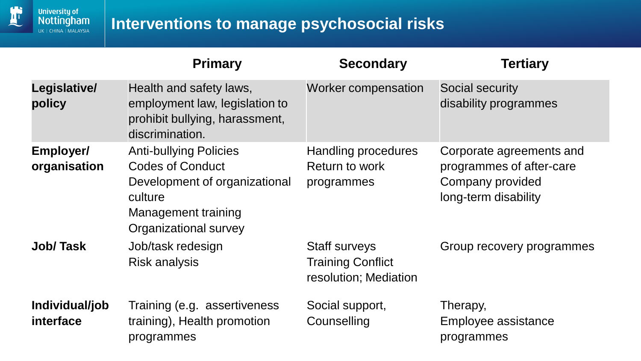

### **Interventions to manage psychosocial risks**

|                                  | <b>Primary</b>                                                                                                                                       | <b>Secondary</b>                                                          | <b>Tertiary</b>                                                                                  |
|----------------------------------|------------------------------------------------------------------------------------------------------------------------------------------------------|---------------------------------------------------------------------------|--------------------------------------------------------------------------------------------------|
| Legislative/<br>policy           | Health and safety laws,<br>employment law, legislation to<br>prohibit bullying, harassment,<br>discrimination.                                       | <b>Worker compensation</b>                                                | Social security<br>disability programmes                                                         |
| <b>Employer/</b><br>organisation | <b>Anti-bullying Policies</b><br><b>Codes of Conduct</b><br>Development of organizational<br>culture<br>Management training<br>Organizational survey | Handling procedures<br>Return to work<br>programmes                       | Corporate agreements and<br>programmes of after-care<br>Company provided<br>long-term disability |
| <b>Job/Task</b>                  | Job/task redesign<br><b>Risk analysis</b>                                                                                                            | <b>Staff surveys</b><br><b>Training Conflict</b><br>resolution; Mediation | Group recovery programmes                                                                        |
| Individual/job<br>interface      | Training (e.g. assertiveness<br>training), Health promotion<br>programmes                                                                            | Social support,<br>Counselling                                            | Therapy,<br>Employee assistance<br>programmes                                                    |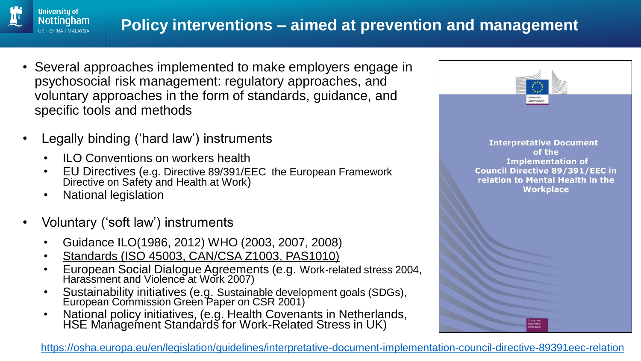

- Several approaches implemented to make employers engage in psychosocial risk management: regulatory approaches, and voluntary approaches in the form of standards, guidance, and specific tools and methods
- Legally binding ('hard law') instruments
	- ILO Conventions on workers health
	- EU Directives (e.g. Directive 89/391/EEC the European Framework Directive on Safety and Health at Work)
	- National legislation

**University of** Nottingham IK | CHINA | MAI AYSIA

- Voluntary ('soft law') instruments
	- Guidance ILO(1986, 2012) WHO (2003, 2007, 2008)
	- Standards (ISO 45003, CAN/CSA Z1003, PAS1010)
	- European Social Dialogue Agreements (e.g. Work-related stress 2004, Harassment and Violence at Work 2007)
	- Sustainability initiatives (e.g. Sustainable development goals (SDGs), European Commission Green Paper on CSR 2001)
	- National policy initiatives, (e.g. Health Covenants in Netherlands, HSE Management Standards for Work-Related Stress in UK)



<https://osha.europa.eu/en/legislation/guidelines/interpretative-document-implementation-council-directive-89391eec-relation>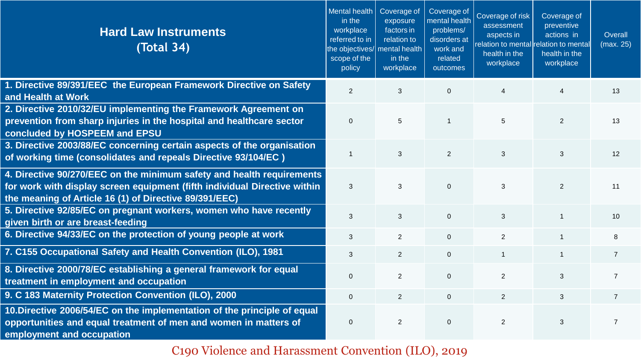| <b>Hard Law Instruments</b><br>(Total 34)                                                                                                                                                                    | <b>Mental health</b><br>in the<br>workplace<br>referred to in<br>the objectives/<br>scope of the<br>policy | Coverage of<br>exposure<br>factors in<br>relation to<br>mental health<br>in the<br>workplace | Coverage of<br>mental health<br>problems/<br>disorders at<br>work and<br>related<br>outcomes | Coverage of risk<br>assessment<br>aspects in<br>relation to mental relation to mental<br>health in the<br>workplace | Coverage of<br>preventive<br>actions in<br>health in the<br>workplace | Overall<br>(max. 25) |
|--------------------------------------------------------------------------------------------------------------------------------------------------------------------------------------------------------------|------------------------------------------------------------------------------------------------------------|----------------------------------------------------------------------------------------------|----------------------------------------------------------------------------------------------|---------------------------------------------------------------------------------------------------------------------|-----------------------------------------------------------------------|----------------------|
| 1. Directive 89/391/EEC the European Framework Directive on Safety<br>and Health at Work                                                                                                                     | 2                                                                                                          | 3                                                                                            | $\overline{0}$                                                                               | $\overline{4}$                                                                                                      | 4                                                                     | 13                   |
| 2. Directive 2010/32/EU implementing the Framework Agreement on<br>prevention from sharp injuries in the hospital and healthcare sector<br>concluded by HOSPEEM and EPSU                                     | $\mathbf 0$                                                                                                | 5                                                                                            | $\overline{1}$                                                                               | $5\phantom{.0}$                                                                                                     | $\overline{2}$                                                        | 13                   |
| 3. Directive 2003/88/EC concerning certain aspects of the organisation<br>of working time (consolidates and repeals Directive 93/104/EC)                                                                     | $\overline{1}$                                                                                             | 3                                                                                            | 2                                                                                            | 3                                                                                                                   | 3                                                                     | 12                   |
| 4. Directive 90/270/EEC on the minimum safety and health requirements<br>for work with display screen equipment (fifth individual Directive within<br>the meaning of Article 16 (1) of Directive 89/391/EEC) | $\mathbf{3}$                                                                                               | 3                                                                                            | $\overline{0}$                                                                               | $\mathbf{3}$                                                                                                        | 2                                                                     | 11                   |
| 5. Directive 92/85/EC on pregnant workers, women who have recently<br>given birth or are breast-feeding                                                                                                      | $\mathbf{3}$                                                                                               | $\overline{3}$                                                                               | $\overline{0}$                                                                               | $\mathbf{3}$                                                                                                        | -1                                                                    | 10                   |
| 6. Directive 94/33/EC on the protection of young people at work                                                                                                                                              | $\mathbf{3}$                                                                                               | $\overline{2}$                                                                               | $\overline{0}$                                                                               | $\overline{2}$                                                                                                      | $\mathbf{1}$                                                          | 8                    |
| 7. C155 Occupational Safety and Health Convention (ILO), 1981                                                                                                                                                | $\mathbf{3}$                                                                                               | $\overline{2}$                                                                               | $\overline{0}$                                                                               | $\overline{1}$                                                                                                      | $\mathbf{1}$                                                          | $\overline{7}$       |
| 8. Directive 2000/78/EC establishing a general framework for equal<br>treatment in employment and occupation                                                                                                 | $\mathbf 0$                                                                                                | $\overline{2}$                                                                               | $\overline{0}$                                                                               | 2                                                                                                                   | 3                                                                     | $\overline{7}$       |
| 9. C 183 Maternity Protection Convention (ILO), 2000                                                                                                                                                         | $\mathbf 0$                                                                                                | $\overline{2}$                                                                               | $\overline{0}$                                                                               | $\overline{2}$                                                                                                      | 3                                                                     | $\overline{7}$       |
| 10. Directive 2006/54/EC on the implementation of the principle of equal<br>opportunities and equal treatment of men and women in matters of<br>employment and occupation                                    | $\overline{0}$                                                                                             | $\overline{2}$                                                                               | $\overline{0}$                                                                               | 2                                                                                                                   | 3                                                                     | $\overline{7}$       |

C190 Violence and Harassment Convention (ILO), 2019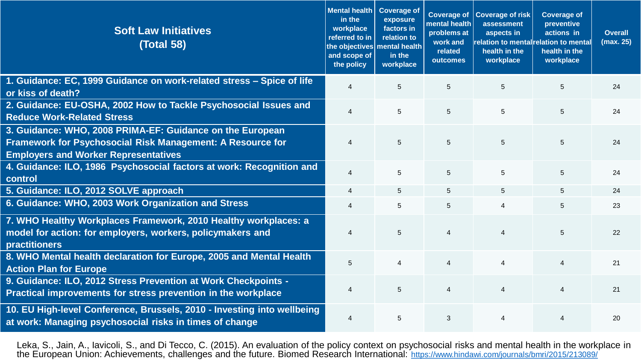| <b>Soft Law Initiatives</b><br><b>(Total 58)</b>                                                                                                                              | Mental health<br>in the<br>workplace<br>referred to in<br>and scope of<br>the policy | <b>Coverage of</b><br>exposure<br>factors in<br>relation to<br>the objectives mental health<br>in the<br>workplace | <b>Coverage of</b><br>mental health<br>problems at<br>work and<br>related<br>outcomes | <b>Coverage of risk</b><br>assessment<br>aspects in<br>relation to mental relation to mental<br>health in the<br>workplace | <b>Coverage of</b><br>preventive<br>actions in<br>health in the<br>workplace | <b>Overall</b><br>(max. 25) |
|-------------------------------------------------------------------------------------------------------------------------------------------------------------------------------|--------------------------------------------------------------------------------------|--------------------------------------------------------------------------------------------------------------------|---------------------------------------------------------------------------------------|----------------------------------------------------------------------------------------------------------------------------|------------------------------------------------------------------------------|-----------------------------|
| 1. Guidance: EC, 1999 Guidance on work-related stress - Spice of life<br>or kiss of death?                                                                                    | $\overline{4}$                                                                       | 5                                                                                                                  | 5                                                                                     | 5                                                                                                                          | 5                                                                            | 24                          |
| 2. Guidance: EU-OSHA, 2002 How to Tackle Psychosocial Issues and<br><b>Reduce Work-Related Stress</b>                                                                         | $\overline{4}$                                                                       | 5                                                                                                                  | $5\overline{)}$                                                                       | 5                                                                                                                          | 5                                                                            | 24                          |
| 3. Guidance: WHO, 2008 PRIMA-EF: Guidance on the European<br><b>Framework for Psychosocial Risk Management: A Resource for</b><br><b>Employers and Worker Representatives</b> | $\overline{4}$                                                                       | $5\phantom{1}$                                                                                                     | $5\phantom{.0}$                                                                       | $5\phantom{.0}$                                                                                                            | 5                                                                            | 24                          |
| 4. Guidance: ILO, 1986 Psychosocial factors at work: Recognition and<br>control                                                                                               | $\overline{\mathcal{A}}$                                                             | 5                                                                                                                  | $5\overline{)}$                                                                       | 5                                                                                                                          | $5\overline{)}$                                                              | 24                          |
| 5. Guidance: ILO, 2012 SOLVE approach                                                                                                                                         | 4                                                                                    | 5                                                                                                                  | 5                                                                                     | 5                                                                                                                          | 5                                                                            | 24                          |
| 6. Guidance: WHO, 2003 Work Organization and Stress                                                                                                                           | $\overline{4}$                                                                       | 5                                                                                                                  | $5\overline{)}$                                                                       | $\overline{4}$                                                                                                             | $5\phantom{.0}$                                                              | 23                          |
| 7. WHO Healthy Workplaces Framework, 2010 Healthy workplaces: a<br>model for action: for employers, workers, policymakers and<br>practitioners                                | 4                                                                                    | 5                                                                                                                  | $\overline{4}$                                                                        | $\overline{4}$                                                                                                             | 5                                                                            | 22                          |
| 8. WHO Mental health declaration for Europe, 2005 and Mental Health<br><b>Action Plan for Europe</b>                                                                          | 5                                                                                    | $\overline{4}$                                                                                                     | $\overline{4}$                                                                        | $\boldsymbol{\Delta}$                                                                                                      | $\overline{4}$                                                               | 21                          |
| 9. Guidance: ILO, 2012 Stress Prevention at Work Checkpoints -<br>Practical improvements for stress prevention in the workplace                                               | $\overline{4}$                                                                       | 5                                                                                                                  | $\overline{4}$                                                                        | $\overline{4}$                                                                                                             | $\overline{4}$                                                               | 21                          |
| 10. EU High-level Conference, Brussels, 2010 - Investing into wellbeing<br>at work: Managing psychosocial risks in times of change                                            | 4                                                                                    | 5                                                                                                                  | $\mathfrak{S}$                                                                        | $\overline{4}$                                                                                                             | $\overline{4}$                                                               | 20                          |

Leka, S., Jain, A., Iavicoli, S., and Di Tecco, C. (2015). An evaluation of the policy context on psychosocial risks and mental health in the workplace in the European Union: Achievements, challenges and the future. Biomed Research International: <https://www.hindawi.com/journals/bmri/2015/213089/>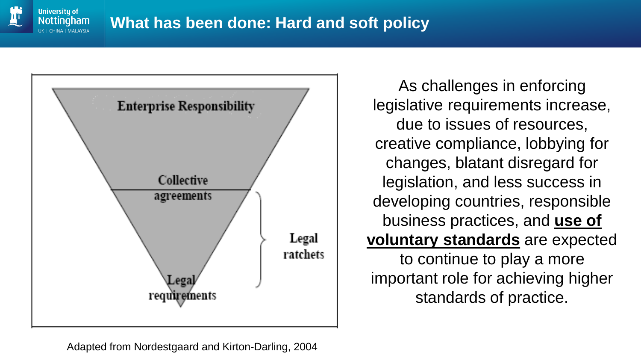



As challenges in enforcing legislative requirements increase, due to issues of resources, creative compliance, lobbying for changes, blatant disregard for legislation, and less success in developing countries, responsible business practices, and **use of voluntary standards** are expected to continue to play a more important role for achieving higher standards of practice.

Adapted from Nordestgaard and Kirton-Darling, 2004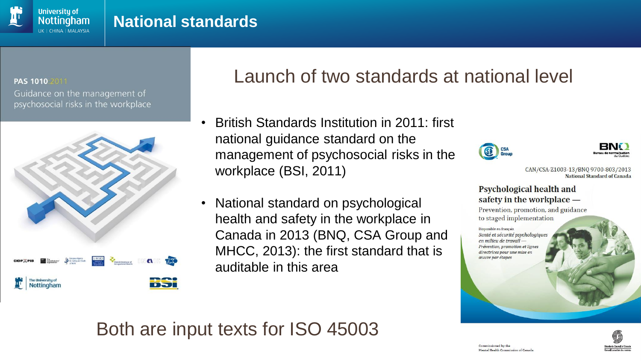#### PAS 1010 2011

**University of** Nottingham IK | CHINA | MAI AYSIA

Guidance on the management of psychosocial risks in the workplace



## Launch of two standards at national level

- British Standards Institution in 2011: first national guidance standard on the management of psychosocial risks in the workplace (BSI, 2011)
- National standard on psychological health and safety in the workplace in Canada in 2013 (BNQ, CSA Group and MHCC, 2013): the first standard that is auditable in this area

### Both are input texts for ISO 45003





CAN/CSA-Z1003-13/BNQ 9700-803/2013 National Standard of Canada

#### Psychological health and safety in the workplace -

Prevention, promotion, and guidance to staged implementation

Disponible en français Santé et sécurité psychologiques en milieu de travail -Prévention, promotion et lignes directrices pour une mise en œuvre par étapes

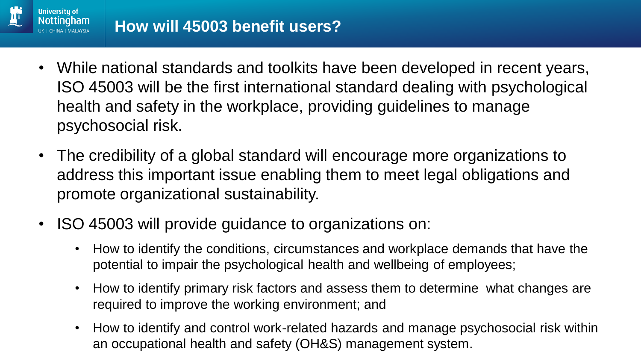

- While national standards and toolkits have been developed in recent years, ISO 45003 will be the first international standard dealing with psychological health and safety in the workplace, providing guidelines to manage psychosocial risk.
- The credibility of a global standard will encourage more organizations to address this important issue enabling them to meet legal obligations and promote organizational sustainability.
- ISO 45003 will provide guidance to organizations on:
	- How to identify the conditions, circumstances and workplace demands that have the potential to impair the psychological health and wellbeing of employees;
	- How to identify primary risk factors and assess them to determine what changes are required to improve the working environment; and
	- How to identify and control work-related hazards and manage psychosocial risk within an occupational health and safety (OH&S) management system.